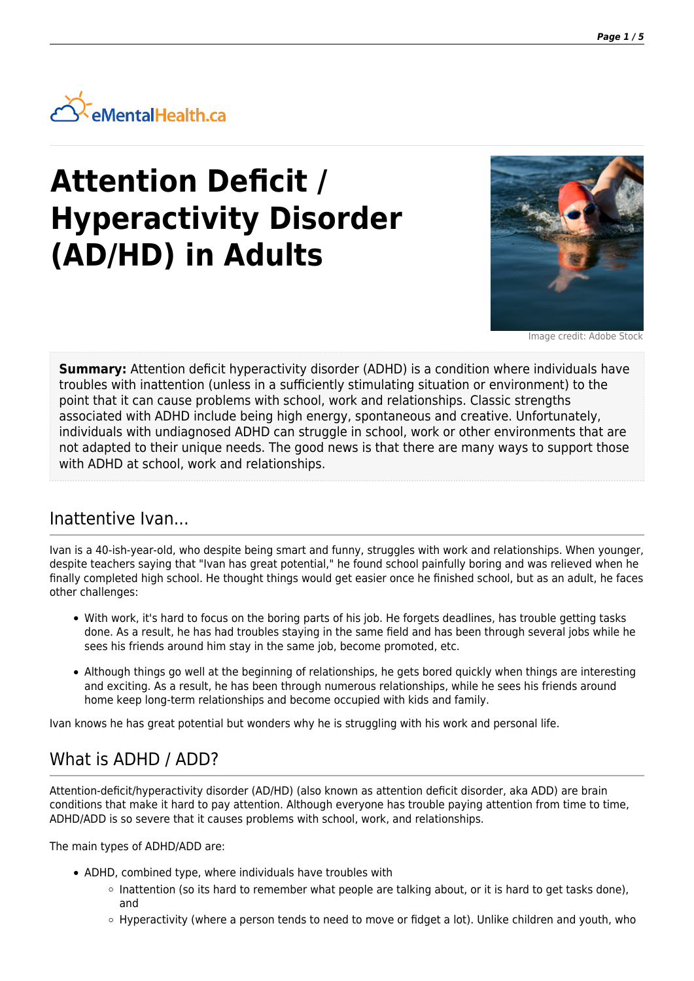

# **Attention Deficit / Hyperactivity Disorder (AD/HD) in Adults**



Image credit: Adobe Stock

**Summary:** Attention deficit hyperactivity disorder (ADHD) is a condition where individuals have troubles with inattention (unless in a sufficiently stimulating situation or environment) to the point that it can cause problems with school, work and relationships. Classic strengths associated with ADHD include being high energy, spontaneous and creative. Unfortunately, individuals with undiagnosed ADHD can struggle in school, work or other environments that are not adapted to their unique needs. The good news is that there are many ways to support those with ADHD at school, work and relationships.

### Inattentive Ivan...

Ivan is a 40-ish-year-old, who despite being smart and funny, struggles with work and relationships. When younger, despite teachers saying that "Ivan has great potential," he found school painfully boring and was relieved when he finally completed high school. He thought things would get easier once he finished school, but as an adult, he faces other challenges:

- With work, it's hard to focus on the boring parts of his job. He forgets deadlines, has trouble getting tasks done. As a result, he has had troubles staying in the same field and has been through several jobs while he sees his friends around him stay in the same job, become promoted, etc.
- Although things go well at the beginning of relationships, he gets bored quickly when things are interesting and exciting. As a result, he has been through numerous relationships, while he sees his friends around home keep long-term relationships and become occupied with kids and family.

Ivan knows he has great potential but wonders why he is struggling with his work and personal life.

# What is ADHD / ADD?

Attention-deficit/hyperactivity disorder (AD/HD) (also known as attention deficit disorder, aka ADD) are brain conditions that make it hard to pay attention. Although everyone has trouble paying attention from time to time, ADHD/ADD is so severe that it causes problems with school, work, and relationships.

The main types of ADHD/ADD are:

- ADHD, combined type, where individuals have troubles with
	- $\circ$  Inattention (so its hard to remember what people are talking about, or it is hard to get tasks done), and
	- o Hyperactivity (where a person tends to need to move or fidget a lot). Unlike children and youth, who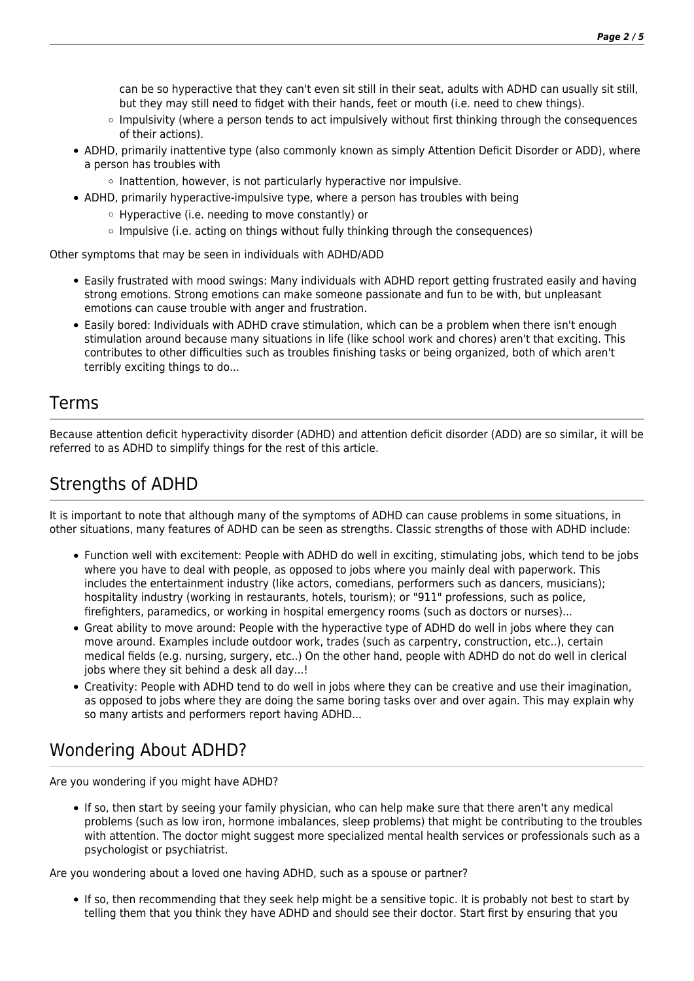can be so hyperactive that they can't even sit still in their seat, adults with ADHD can usually sit still, but they may still need to fidget with their hands, feet or mouth (i.e. need to chew things).

- o Impulsivity (where a person tends to act impulsively without first thinking through the consequences of their actions).
- ADHD, primarily inattentive type (also commonly known as simply Attention Deficit Disorder or ADD), where a person has troubles with
	- $\circ$  Inattention, however, is not particularly hyperactive nor impulsive.
- ADHD, primarily hyperactive-impulsive type, where a person has troubles with being
	- Hyperactive (i.e. needing to move constantly) or
	- $\circ$  Impulsive (i.e. acting on things without fully thinking through the consequences)

Other symptoms that may be seen in individuals with ADHD/ADD

- Easily frustrated with mood swings: Many individuals with ADHD report getting frustrated easily and having strong emotions. Strong emotions can make someone passionate and fun to be with, but unpleasant emotions can cause trouble with anger and frustration.
- Easily bored: Individuals with ADHD crave stimulation, which can be a problem when there isn't enough stimulation around because many situations in life (like school work and chores) aren't that exciting. This contributes to other difficulties such as troubles finishing tasks or being organized, both of which aren't terribly exciting things to do...

### Terms

Because attention deficit hyperactivity disorder (ADHD) and attention deficit disorder (ADD) are so similar, it will be referred to as ADHD to simplify things for the rest of this article.

# Strengths of ADHD

It is important to note that although many of the symptoms of ADHD can cause problems in some situations, in other situations, many features of ADHD can be seen as strengths. Classic strengths of those with ADHD include:

- Function well with excitement: People with ADHD do well in exciting, stimulating jobs, which tend to be jobs where you have to deal with people, as opposed to jobs where you mainly deal with paperwork. This includes the entertainment industry (like actors, comedians, performers such as dancers, musicians); hospitality industry (working in restaurants, hotels, tourism); or "911" professions, such as police, firefighters, paramedics, or working in hospital emergency rooms (such as doctors or nurses)...
- Great ability to move around: People with the hyperactive type of ADHD do well in jobs where they can move around. Examples include outdoor work, trades (such as carpentry, construction, etc..), certain medical fields (e.g. nursing, surgery, etc..) On the other hand, people with ADHD do not do well in clerical jobs where they sit behind a desk all day...!
- Creativity: People with ADHD tend to do well in jobs where they can be creative and use their imagination, as opposed to jobs where they are doing the same boring tasks over and over again. This may explain why so many artists and performers report having ADHD...

# Wondering About ADHD?

Are you wondering if you might have ADHD?

If so, then start by seeing your family physician, who can help make sure that there aren't any medical problems (such as low iron, hormone imbalances, sleep problems) that might be contributing to the troubles with attention. The doctor might suggest more specialized mental health services or professionals such as a psychologist or psychiatrist.

Are you wondering about a loved one having ADHD, such as a spouse or partner?

If so, then recommending that they seek help might be a sensitive topic. It is probably not best to start by telling them that you think they have ADHD and should see their doctor. Start first by ensuring that you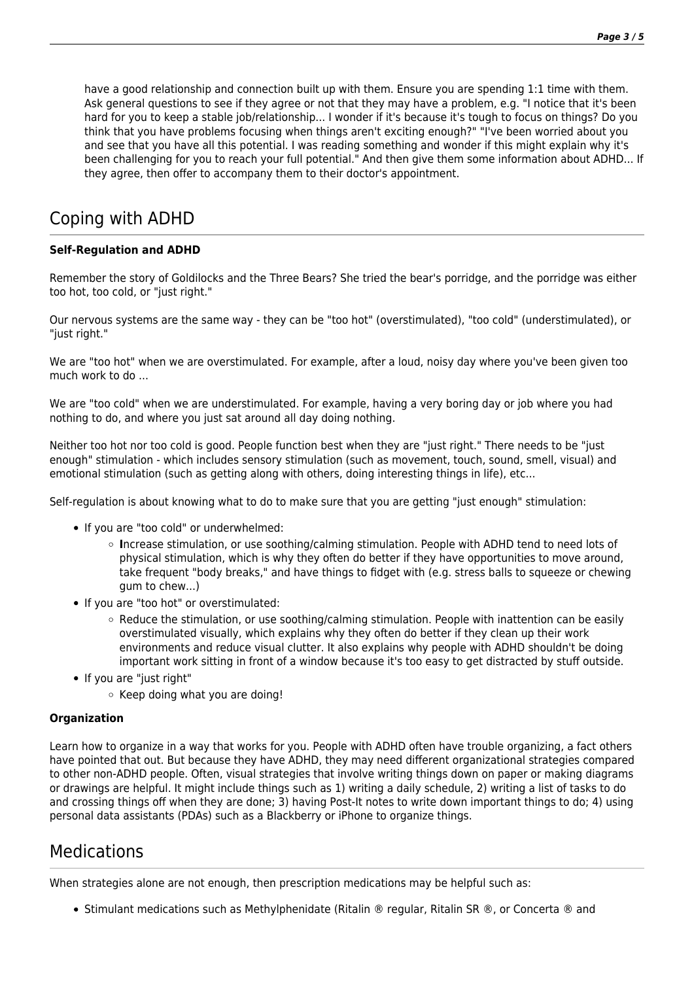have a good relationship and connection built up with them. Ensure you are spending 1:1 time with them. Ask general questions to see if they agree or not that they may have a problem, e.g. "I notice that it's been hard for you to keep a stable job/relationship... I wonder if it's because it's tough to focus on things? Do you think that you have problems focusing when things aren't exciting enough?" "I've been worried about you and see that you have all this potential. I was reading something and wonder if this might explain why it's been challenging for you to reach your full potential." And then give them some information about ADHD... If they agree, then offer to accompany them to their doctor's appointment.

# Coping with ADHD

#### **Self-Regulation and ADHD**

Remember the story of Goldilocks and the Three Bears? She tried the bear's porridge, and the porridge was either too hot, too cold, or "just right."

Our nervous systems are the same way - they can be "too hot" (overstimulated), "too cold" (understimulated), or "just right."

We are "too hot" when we are overstimulated. For example, after a loud, noisy day where you've been given too much work to do ...

We are "too cold" when we are understimulated. For example, having a very boring day or job where you had nothing to do, and where you just sat around all day doing nothing.

Neither too hot nor too cold is good. People function best when they are "just right." There needs to be "just enough" stimulation - which includes sensory stimulation (such as movement, touch, sound, smell, visual) and emotional stimulation (such as getting along with others, doing interesting things in life), etc...

Self-regulation is about knowing what to do to make sure that you are getting "just enough" stimulation:

- If you are "too cold" or underwhelmed:
	- **I**ncrease stimulation, or use soothing/calming stimulation. People with ADHD tend to need lots of physical stimulation, which is why they often do better if they have opportunities to move around, take frequent "body breaks," and have things to fidget with (e.g. stress balls to squeeze or chewing gum to chew...)
- If you are "too hot" or overstimulated:
	- $\circ$  Reduce the stimulation, or use soothing/calming stimulation. People with inattention can be easily overstimulated visually, which explains why they often do better if they clean up their work environments and reduce visual clutter. It also explains why people with ADHD shouldn't be doing important work sitting in front of a window because it's too easy to get distracted by stuff outside.
- If you are "just right"
	- $\circ$  Keep doing what you are doing!

#### **Organization**

Learn how to organize in a way that works for you. People with ADHD often have trouble organizing, a fact others have pointed that out. But because they have ADHD, they may need different organizational strategies compared to other non-ADHD people. Often, visual strategies that involve writing things down on paper or making diagrams or drawings are helpful. It might include things such as 1) writing a daily schedule, 2) writing a list of tasks to do and crossing things off when they are done; 3) having Post-It notes to write down important things to do; 4) using personal data assistants (PDAs) such as a Blackberry or iPhone to organize things.

### Medications

When strategies alone are not enough, then prescription medications may be helpful such as:

Stimulant medications such as Methylphenidate (Ritalin ® regular, Ritalin SR ®, or Concerta ® and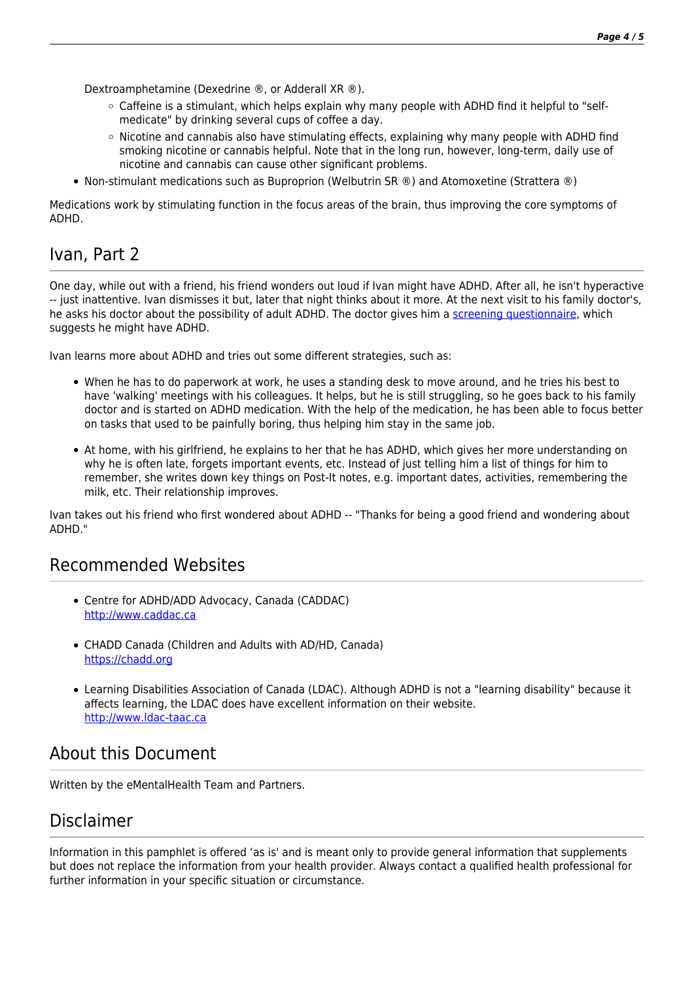Dextroamphetamine (Dexedrine ®, or Adderall XR ®).

- $\circ$  Caffeine is a stimulant, which helps explain why many people with ADHD find it helpful to "selfmedicate" by drinking several cups of coffee a day.
- $\circ$  Nicotine and cannabis also have stimulating effects, explaining why many people with ADHD find smoking nicotine or cannabis helpful. Note that in the long run, however, long-term, daily use of nicotine and cannabis can cause other significant problems.
- Non-stimulant medications such as Buproprion (Welbutrin SR ®) and Atomoxetine (Strattera ®)

Medications work by stimulating function in the focus areas of the brain, thus improving the core symptoms of ADHD.

## Ivan, Part 2

One day, while out with a friend, his friend wonders out loud if Ivan might have ADHD. After all, he isn't hyperactive -- just inattentive. Ivan dismisses it but, later that night thinks about it more. At the next visit to his family doctor's, he asks his doctor about the possibility of adult ADHD. The doctor gives him a [screening questionnaire,](https://psychiatry.ementalhealth.ca/index.php?m=survey&ID=1) which suggests he might have ADHD.

Ivan learns more about ADHD and tries out some different strategies, such as:

- When he has to do paperwork at work, he uses a standing desk to move around, and he tries his best to have 'walking' meetings with his colleagues. It helps, but he is still struggling, so he goes back to his family doctor and is started on ADHD medication. With the help of the medication, he has been able to focus better on tasks that used to be painfully boring, thus helping him stay in the same job.
- At home, with his girlfriend, he explains to her that he has ADHD, which gives her more understanding on why he is often late, forgets important events, etc. Instead of just telling him a list of things for him to remember, she writes down key things on Post-It notes, e.g. important dates, activities, remembering the milk, etc. Their relationship improves.

Ivan takes out his friend who first wondered about ADHD -- "Thanks for being a good friend and wondering about ADHD."

### Recommended Websites

- Centre for ADHD/ADD Advocacy, Canada (CADDAC) <http://www.caddac.ca>
- CHADD Canada (Children and Adults with AD/HD, Canada) <https://chadd.org>
- Learning Disabilities Association of Canada (LDAC). Although ADHD is not a "learning disability" because it affects learning, the LDAC does have excellent information on their website. <http://www.ldac-taac.ca>

### About this Document

Written by the eMentalHealth Team and Partners.

### Disclaimer

Information in this pamphlet is offered 'as is' and is meant only to provide general information that supplements but does not replace the information from your health provider. Always contact a qualified health professional for further information in your specific situation or circumstance.